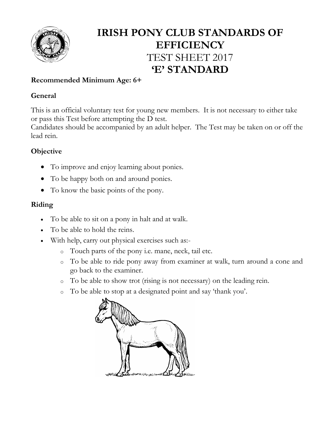

# **IRISH PONY CLUB STANDARDS OF EFFICIENCY** TEST SHEET 2017 **'E' STANDARD**

# **Recommended Minimum Age: 6+**

### **General**

This is an official voluntary test for young new members. It is not necessary to either take or pass this Test before attempting the D test.

Candidates should be accompanied by an adult helper. The Test may be taken on or off the lead rein.

## **Objective**

- To improve and enjoy learning about ponies.
- To be happy both on and around ponies.
- To know the basic points of the pony.

## **Riding**

- To be able to sit on a pony in halt and at walk.
- To be able to hold the reins.
- With help, carry out physical exercises such as:
	- o Touch parts of the pony i.e. mane, neck, tail etc.
	- o To be able to ride pony away from examiner at walk, turn around a cone and go back to the examiner.
	- o To be able to show trot (rising is not necessary) on the leading rein.
	- o To be able to stop at a designated point and say 'thank you'.